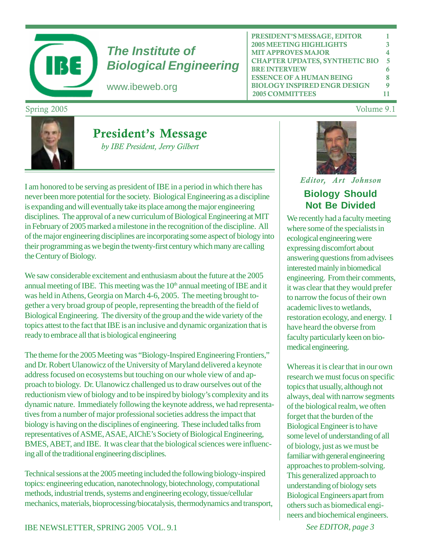

# *The Institute of Biological Engineering*

www.ibeweb.org

| PRESIDENT'S MESSAGE, EDITOR           |    |
|---------------------------------------|----|
| <b>2005 MEETING HIGHLIGHTS</b>        | 3  |
| <b>MIT APPROVES MAJOR</b>             | 4  |
| <b>CHAPTER UPDATES, SYNTHETIC BIO</b> | -5 |
| <b>BRE INTERVIEW</b>                  |    |
| <b>ESSENCE OF A HUMAN BEING</b>       | ጸ  |
| <b>BIOLOGY INSPIRED ENGR DESIGN</b>   | g  |
| <b>2005 COMMITTEES</b>                |    |
|                                       |    |



# President's Message

*by IBE President, Jerry Gilbert*

I am honored to be serving as president of IBE in a period in which there has never been more potential for the society. Biological Engineering as a discipline is expanding and will eventually take its place among the major engineering disciplines. The approval of a new curriculum of Biological Engineering at MIT in February of 2005 marked a milestone in the recognition of the discipline. All of the major engineering disciplines are incorporating some aspect of biology into their programming as we begin the twenty-first century which many are calling the Century of Biology.

We saw considerable excitement and enthusiasm about the future at the 2005 annual meeting of IBE. This meeting was the  $10<sup>th</sup>$  annual meeting of IBE and it was held in Athens, Georgia on March 4-6, 2005. The meeting brought together a very broad group of people, representing the breadth of the field of Biological Engineering. The diversity of the group and the wide variety of the topics attest to the fact that IBE is an inclusive and dynamic organization that is ready to embrace all that is biological engineering

The theme for the 2005 Meeting was "Biology-Inspired Engineering Frontiers," and Dr. Robert Ulanowicz of the University of Maryland delivered a keynote address focused on ecosystems but touching on our whole view of and approach to biology. Dr. Ulanowicz challenged us to draw ourselves out of the reductionism view of biology and to be inspired by biology's complexity and its dynamic nature. Immediately following the keynote address, we had representatives from a number of major professional societies address the impact that biology is having on the disciplines of engineering. These included talks from representatives of ASME, ASAE, AIChE's Society of Biological Engineering, BMES, ABET, and IBE. It was clear that the biological sciences were influencing all of the traditional engineering disciplines.

Technical sessions at the 2005 meeting included the following biology-inspired topics: engineering education, nanotechnology, biotechnology, computational methods, industrial trends, systems and engineering ecology, tissue/cellular mechanics, materials, bioprocessing/biocatalysis, thermodynamics and transport,

*Editor, Art Johnson*

## **Biology Should Not Be Divided**

We recently had a faculty meeting where some of the specialists in ecological engineering were expressing discomfort about answering questions from advisees interested mainly in biomedical engineering. From their comments, it was clear that they would prefer to narrow the focus of their own academic lives to wetlands, restoration ecology, and energy. I have heard the obverse from faculty particularly keen on biomedical engineering.

Whereas it is clear that in our own research we must focus on specific topics that usually, although not always, deal with narrow segments of the biological realm, we often forget that the burden of the Biological Engineer is to have some level of understanding of all of biology, just as we must be familiar with general engineering approaches to problem-solving. This generalized approach to understanding of biology sets Biological Engineers apart from others such as biomedical engineers and biochemical engineers.

Spring 2005 Volume 9.1

IBE NEWSLETTER, SPRING 2005 VOL. 9.1

*See EDITOR, page 3*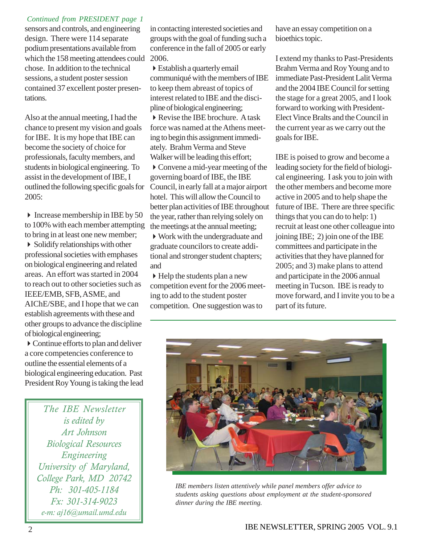#### *Continued from PRESIDENT page 1*

sensors and controls, and engineering design. There were 114 separate podium presentations available from which the 158 meeting attendees could chose. In addition to the technical sessions, a student poster session contained 37 excellent poster presentations.

Also at the annual meeting, I had the chance to present my vision and goals for IBE. It is my hope that IBE can become the society of choice for professionals, faculty members, and students in biological engineering. To assist in the development of IBE, I outlined the following specific goals for 2005:

 $\triangleright$  Increase membership in IBE by 50 to 100% with each member attempting to bring in at least one new member;

 $\triangleright$  Solidify relationships with other professional societies with emphases on biological engineering and related areas. An effort was started in 2004 to reach out to other societies such as IEEE/EMB, SFB, ASME, and AIChE/SBE, and I hope that we can establish agreements with these and other groups to advance the discipline of biological engineering;

Continue efforts to plan and deliver a core competencies conference to outline the essential elements of a biological engineering education. Past President Roy Young is taking the lead

> *The IBE Newsletter is edited by Art Johnson Biological Resources Engineering University of Maryland, College Park, MD 20742 Ph: 301-405-1184 Fx: 301-314-9023 e-m: aj16@umail.umd.edu*

in contacting interested societies and groups with the goal of funding such a conference in the fall of 2005 or early 2006.

Establish a quarterly email communiqué with the members of IBE to keep them abreast of topics of interest related to IBE and the discipline of biological engineering;

Revise the IBE brochure. A task force was named at the Athens meeting to begin this assignment immediately. Brahm Verma and Steve Walker will be leading this effort;

Convene a mid-year meeting of the governing board of IBE, the IBE Council, in early fall at a major airport hotel. This will allow the Council to better plan activities of IBE throughout the year, rather than relying solely on the meetings at the annual meeting;

Work with the undergraduate and graduate councilors to create additional and stronger student chapters; and

 $\blacktriangleright$  Help the students plan a new competition event for the 2006 meeting to add to the student poster competition. One suggestion was to

have an essay competition on a bioethics topic.

I extend my thanks to Past-Presidents Brahm Verma and Roy Young and to immediate Past-President Lalit Verma and the 2004 IBE Council for setting the stage for a great 2005, and I look forward to working with President-Elect Vince Bralts and the Council in the current year as we carry out the goals for IBE.

IBE is poised to grow and become a leading society for the field of biological engineering. I ask you to join with the other members and become more active in 2005 and to help shape the future of IBE. There are three specific things that you can do to help: 1) recruit at least one other colleague into joining IBE; 2) join one of the IBE committees and participate in the activities that they have planned for 2005; and 3) make plans to attend and participate in the 2006 annual meeting in Tucson. IBE is ready to move forward, and I invite you to be a part of its future.



*IBE members listen attentively while panel members offer advice to students asking questions about employment at the student-sponsored dinner during the IBE meeting.*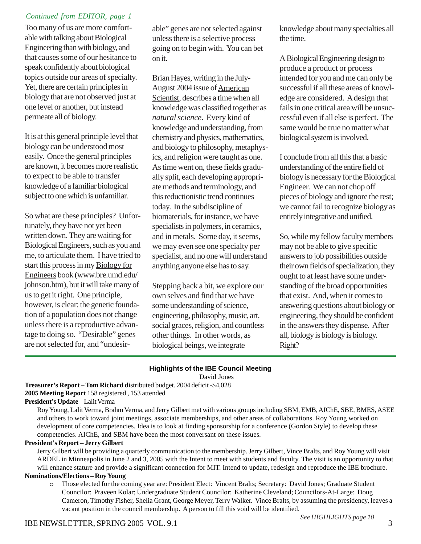#### *Continued from EDITOR, page 1*

Too many of us are more comfortable with talking about Biological Engineering than with biology, and that causes some of our hesitance to speak confidently about biological topics outside our areas of specialty. Yet, there are certain principles in biology that are not observed just at one level or another, but instead permeate all of biology.

It is at this general principle level that biology can be understood most easily. Once the general principles are known, it becomes more realistic to expect to be able to transfer knowledge of a familiar biological subject to one which is unfamiliar.

So what are these principles? Unfortunately, they have not yet been written down. They are waiting for Biological Engineers, such as you and me, to articulate them. I have tried to start this process in my Biology for Engineers book (www.bre.umd.edu/ johnson.htm), but it will take many of us to get it right. One principle, however, is clear: the genetic foundation of a population does not change unless there is a reproductive advantage to doing so. "Desirable" genes are not selected for, and "undesirable" genes are not selected against unless there is a selective process going on to begin with. You can bet on it.

Brian Hayes, writing in the July-August 2004 issue of American Scientist, describes a time when all knowledge was classified together as *natural science*. Every kind of knowledge and understanding, from chemistry and physics, mathematics, and biology to philosophy, metaphysics, and religion were taught as one. As time went on, these fields gradually split, each developing appropriate methods and terminology, and this reductionistic trend continues today. In the subdiscipline of biomaterials, for instance, we have specialists in polymers, in ceramics, and in metals. Some day, it seems, we may even see one specialty per specialist, and no one will understand anything anyone else has to say.

Stepping back a bit, we explore our own selves and find that we have some understanding of science, engineering, philosophy, music, art, social graces, religion, and countless other things. In other words, as biological beings, we integrate

knowledge about many specialties all the time.

A Biological Engineering design to produce a product or process intended for you and me can only be successful if all these areas of knowledge are considered. A design that fails in one critical area will be unsuccessful even if all else is perfect. The same would be true no matter what biological system is involved.

I conclude from all this that a basic understanding of the entire field of biology is necessary for the Biological Engineer. We can not chop off pieces of biology and ignore the rest; we cannot fail to recognize biology as entirely integrative and unified.

So, while my fellow faculty members may not be able to give specific answers to job possibilities outside their own fields of specialization, they ought to at least have some understanding of the broad opportunities that exist. And, when it comes to answering questions about biology or engineering, they should be confident in the answers they dispense. After all, biology is biology is biology. Right?

#### **Highlights of the IBE Council Meeting**

David Jones

**Treasurer's Report – Tom Richard d**istributed budget. 2004 deficit -\$4,028 **2005 Meeting Report** 158 registered , 153 attended

#### **President's Update** – Lalit Verma

Roy Young, Lalit Verma, Brahm Verma, and Jerry Gilbert met with various groups including SBM, EMB, AIChE, SBE, BMES, ASEE and others to work toward joint meetings, associate memberships, and other areas of collaborations. Roy Young worked on development of core competencies. Idea is to look at finding sponsorship for a conference (Gordon Style) to develop these competencies. AIChE, and SBM have been the most conversant on these issues.

#### **President's Report – Jerry Gilbert**

Jerry Gilbert will be providing a quarterly communication to the membership. Jerry Gilbert, Vince Bralts, and Roy Young will visit ARDEL in Minneapolis in June 2 and 3, 2005 with the Intent to meet with students and faculty. The visit is an opportunity to that will enhance stature and provide a significant connection for MIT. Intend to update, redesign and reproduce the IBE brochure.

#### **Nominations/Elections – Roy Young**

o Those elected for the coming year are: President Elect: Vincent Bralts; Secretary: David Jones; Graduate Student Councilor: Praveen Kolar; Undergraduate Student Councilor: Katherine Cleveland; Councilors-At-Large: Doug Cameron, Timothy Fisher, Shelia Grant, George Meyer, Terry Walker. Vince Bralts, by assuming the presidency, leaves a vacant position in the council membership. A person to fill this void will be identified.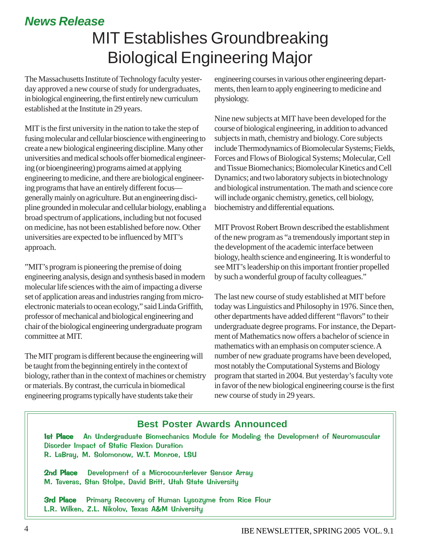# *News Release* MIT Establishes Groundbreaking Biological Engineering Major

The Massachusetts Institute of Technology faculty yesterday approved a new course of study for undergraduates, in biological engineering, the first entirely new curriculum established at the Institute in 29 years.

MIT is the first university in the nation to take the step of fusing molecular and cellular bioscience with engineering to create a new biological engineering discipline. Many other universities and medical schools offer biomedical engineering (or bioengineering) programs aimed at applying engineering to medicine, and there are biological engineering programs that have an entirely different focus generally mainly on agriculture. But an engineering discipline grounded in molecular and cellular biology, enabling a broad spectrum of applications, including but not focused on medicine, has not been established before now. Other universities are expected to be influenced by MIT's approach.

"MIT's program is pioneering the premise of doing engineering analysis, design and synthesis based in modern molecular life sciences with the aim of impacting a diverse set of application areas and industries ranging from microelectronic materials to ocean ecology," said Linda Griffith, professor of mechanical and biological engineering and chair of the biological engineering undergraduate program committee at MIT.

The MIT program is different because the engineering will be taught from the beginning entirely in the context of biology, rather than in the context of machines or chemistry or materials. By contrast, the curricula in biomedical engineering programs typically have students take their

engineering courses in various other engineering departments, then learn to apply engineering to medicine and physiology.

Nine new subjects at MIT have been developed for the course of biological engineering, in addition to advanced subjects in math, chemistry and biology. Core subjects include Thermodynamics of Biomolecular Systems; Fields, Forces and Flows of Biological Systems; Molecular, Cell and Tissue Biomechanics; Biomolecular Kinetics and Cell Dynamics; and two laboratory subjects in biotechnology and biological instrumentation. The math and science core will include organic chemistry, genetics, cell biology, biochemistry and differential equations.

MIT Provost Robert Brown described the establishment of the new program as "a tremendously important step in the development of the academic interface between biology, health science and engineering. It is wonderful to see MIT's leadership on this important frontier propelled by such a wonderful group of faculty colleagues."

The last new course of study established at MIT before today was Linguistics and Philosophy in 1976. Since then, other departments have added different "flavors" to their undergraduate degree programs. For instance, the Department of Mathematics now offers a bachelor of science in mathematics with an emphasis on computer science. A number of new graduate programs have been developed, most notably the Computational Systems and Biology program that started in 2004. But yesterday's faculty vote in favor of the new biological engineering course is the first new course of study in 29 years.

# **Best Poster Awards Announced**

1st Place An Undergraduate Biomechanics Module for Modeling the Development of Neuromuscular Disorder Impact of Static Flexion Duration R. LaBray, M. Solomonow, W.T. Monroe, LSU

2nd Place Development of a Microcounterlever Sensor Array M. Taveras, Stan Stolpe, David Britt, Utah State University

**3rd Place** Primary Recovery of Human Lysozyme from Rice Flour L.R. Wilken, Z.L. Nikolov, Texas A&M University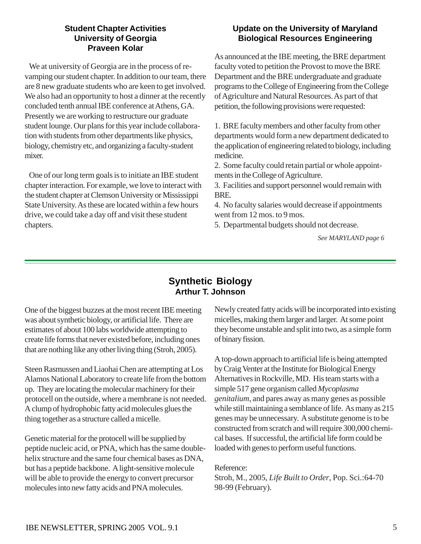## **Student Chapter Activities University of Georgia Praveen Kolar**

 We at university of Georgia are in the process of revamping our student chapter. In addition to our team, there are 8 new graduate students who are keen to get involved. We also had an opportunity to host a dinner at the recently concluded tenth annual IBE conference at Athens, GA. Presently we are working to restructure our graduate student lounge. Our plans for this year include collaboration with students from other departments like physics, biology, chemistry etc, and organizing a faculty-student mixer.

 One of our long term goals is to initiate an IBE student chapter interaction. For example, we love to interact with the student chapter at Clemson University or Mississippi State University. As these are located within a few hours drive, we could take a day off and visit these student chapters.

## **Update on the University of Maryland Biological Resources Engineering**

As announced at the IBE meeting, the BRE department faculty voted to petition the Provost to move the BRE Department and the BRE undergraduate and graduate programs to the College of Engineering from the College of Agriculture and Natural Resources. As part of that petition, the following provisions were requested:

1. BRE faculty members and other faculty from other departments would form a new department dedicated to the application of engineering related to biology, including medicine.

2. Some faculty could retain partial or whole appointments in the College of Agriculture.

3. Facilities and support personnel would remain with BRE.

4. No faculty salaries would decrease if appointments went from 12 mos. to 9 mos.

5. Departmental budgets should not decrease.

*See MARYLAND page 6*

## **Synthetic Biology Arthur T. Johnson**

One of the biggest buzzes at the most recent IBE meeting was about synthetic biology, or artificial life. There are estimates of about 100 labs worldwide attempting to create life forms that never existed before, including ones that are nothing like any other living thing (Stroh, 2005).

Steen Rasmussen and Liaohai Chen are attempting at Los Alamos National Laboratory to create life from the bottom up. They are locating the molecular machinery for their protocell on the outside, where a membrane is not needed. A clump of hydrophobic fatty acid molecules glues the thing together as a structure called a micelle.

Genetic material for the protocell will be supplied by peptide nucleic acid, or PNA, which has the same doublehelix structure and the same four chemical bases as DNA, but has a peptide backbone. A light-sensitive molecule will be able to provide the energy to convert precursor molecules into new fatty acids and PNA molecules.

Newly created fatty acids will be incorporated into existing micelles, making them larger and larger. At some point they become unstable and split into two, as a simple form of binary fission.

A top-down approach to artificial life is being attempted by Craig Venter at the Institute for Biological Energy Alternatives in Rockville, MD. His team starts with a simple 517 gene organism called *Mycoplasma genitalium*, and pares away as many genes as possible while still maintaining a semblance of life. As many as 215 genes may be unnecessary. A substitute genome is to be constructed from scratch and will require 300,000 chemical bases. If successful, the artificial life form could be loaded with genes to perform useful functions.

#### Reference:

Stroh, M., 2005, *Life Built to Order*, Pop. Sci.:64-70 98-99 (February).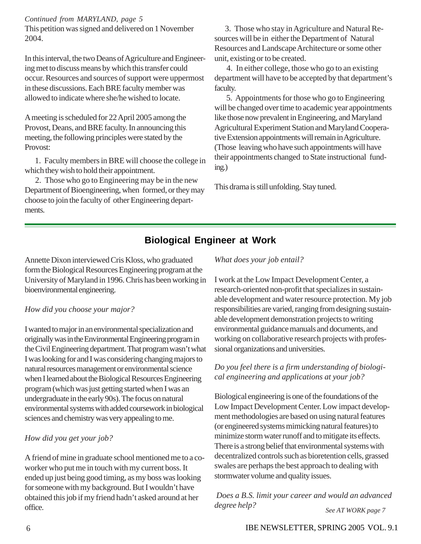*Continued from MARYLAND, page 5*

This petition was signed and delivered on 1 November 2004.

In this interval, the two Deans of Agriculture and Engineering met to discuss means by which this transfer could occur. Resources and sources of support were uppermost in these discussions. Each BRE faculty member was allowed to indicate where she/he wished to locate.

A meeting is scheduled for 22 April 2005 among the Provost, Deans, and BRE faculty. In announcing this meeting, the following principles were stated by the Provost:

 1. Faculty members in BRE will choose the college in which they wish to hold their appointment.

 2. Those who go to Engineering may be in the new Department of Bioengineering, when formed, or they may choose to join the faculty of other Engineering departments.

 3. Those who stay in Agriculture and Natural Resources will be in either the Department of Natural Resources and Landscape Architecture or some other unit, existing or to be created.

 4. In either college, those who go to an existing department will have to be accepted by that department's faculty.

 5. Appointments for those who go to Engineering will be changed over time to academic year appointments like those now prevalent in Engineering, and Maryland Agricultural Experiment Station and Maryland Cooperative Extension appointments will remain in Agriculture. (Those leaving who have such appointments will have their appointments changed to State instructional funding.)

This drama is still unfolding. Stay tuned.

# **Biological Engineer at Work**

Annette Dixon interviewed Cris Kloss, who graduated form the Biological Resources Engineering program at the University of Maryland in 1996. Chris has been working in bioenvironmental engineering.

#### *How did you choose your major?*

I wanted to major in an environmental specialization and originally was in the Environmental Engineering program in the Civil Engineering department. That program wasn't what I was looking for and I was considering changing majors to natural resources management or environmental science when I learned about the Biological Resources Engineering program (which was just getting started when I was an undergraduate in the early 90s). The focus on natural environmental systems with added coursework in biological sciences and chemistry was very appealing to me.

## *How did you get your job?*

A friend of mine in graduate school mentioned me to a coworker who put me in touch with my current boss. It ended up just being good timing, as my boss was looking for someone with my background. But I wouldn't have obtained this job if my friend hadn't asked around at her office.

*What does your job entail?*

I work at the Low Impact Development Center, a research-oriented non-profit that specializes in sustainable development and water resource protection. My job responsibilities are varied, ranging from designing sustainable development demonstration projects to writing environmental guidance manuals and documents, and working on collaborative research projects with professional organizations and universities.

## *Do you feel there is a firm understanding of biological engineering and applications at your job?*

Biological engineering is one of the foundations of the Low Impact Development Center. Low impact development methodologies are based on using natural features (or engineered systems mimicking natural features) to minimize storm water runoff and to mitigate its effects. There is a strong belief that environmental systems with decentralized controls such as bioretention cells, grassed swales are perhaps the best approach to dealing with stormwater volume and quality issues.

*Does a B.S. limit your career and would an advanced degree help? See AT WORK page 7*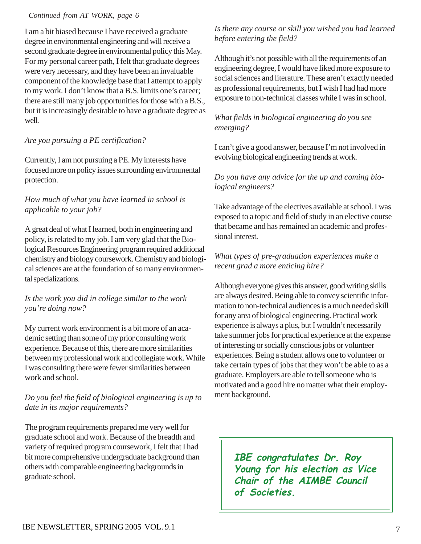#### *Continued from AT WORK, page 6*

I am a bit biased because I have received a graduate degree in environmental engineering and will receive a second graduate degree in environmental policy this May. For my personal career path, I felt that graduate degrees were very necessary, and they have been an invaluable component of the knowledge base that I attempt to apply to my work. I don't know that a B.S. limits one's career; there are still many job opportunities for those with a B.S., but it is increasingly desirable to have a graduate degree as well.

#### *Are you pursuing a PE certification?*

Currently, I am not pursuing a PE. My interests have focused more on policy issues surrounding environmental protection.

## *How much of what you have learned in school is applicable to your job?*

A great deal of what I learned, both in engineering and policy, is related to my job. I am very glad that the Biological Resources Engineering program required additional chemistry and biology coursework. Chemistry and biological sciences are at the foundation of so many environmental specializations.

## *Is the work you did in college similar to the work you're doing now?*

My current work environment is a bit more of an academic setting than some of my prior consulting work experience. Because of this, there are more similarities between my professional work and collegiate work. While I was consulting there were fewer similarities between work and school.

## *Do you feel the field of biological engineering is up to date in its major requirements?*

The program requirements prepared me very well for graduate school and work. Because of the breadth and variety of required program coursework, I felt that I had bit more comprehensive undergraduate background than others with comparable engineering backgrounds in graduate school.

## *Is there any course or skill you wished you had learned before entering the field?*

Although it's not possible with all the requirements of an engineering degree, I would have liked more exposure to social sciences and literature. These aren't exactly needed as professional requirements, but I wish I had had more exposure to non-technical classes while I was in school.

## *What fields in biological engineering do you see emerging?*

I can't give a good answer, because I'm not involved in evolving biological engineering trends at work.

#### *Do you have any advice for the up and coming biological engineers?*

Take advantage of the electives available at school. I was exposed to a topic and field of study in an elective course that became and has remained an academic and professional interest.

## *What types of pre-graduation experiences make a recent grad a more enticing hire?*

Although everyone gives this answer, good writing skills are always desired. Being able to convey scientific information to non-technical audiences is a much needed skill for any area of biological engineering. Practical work experience is always a plus, but I wouldn't necessarily take summer jobs for practical experience at the expense of interesting or socially conscious jobs or volunteer experiences. Being a student allows one to volunteer or take certain types of jobs that they won't be able to as a graduate. Employers are able to tell someone who is motivated and a good hire no matter what their employment background.

> **IBE congratulates Dr. Roy Young for his election as Vice Chair of the AIMBE Council of Societies.**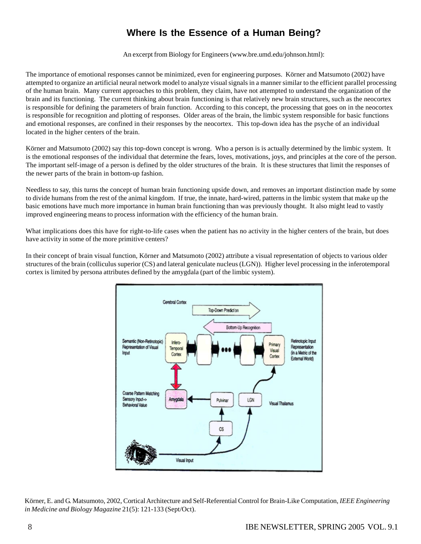# **Where Is the Essence of a Human Being?**

An excerpt from Biology for Engineers (www.bre.umd.edu/johnson.html):

The importance of emotional responses cannot be minimized, even for engineering purposes. Körner and Matsumoto (2002) have attempted to organize an artificial neural network model to analyze visual signals in a manner similar to the efficient parallel processing of the human brain. Many current approaches to this problem, they claim, have not attempted to understand the organization of the brain and its functioning. The current thinking about brain functioning is that relatively new brain structures, such as the neocortex is responsible for defining the parameters of brain function. According to this concept, the processing that goes on in the neocortex is responsible for recognition and plotting of responses. Older areas of the brain, the limbic system responsible for basic functions and emotional responses, are confined in their responses by the neocortex. This top-down idea has the psyche of an individual located in the higher centers of the brain.

Körner and Matsumoto (2002) say this top-down concept is wrong. Who a person is is actually determined by the limbic system. It is the emotional responses of the individual that determine the fears, loves, motivations, joys, and principles at the core of the person. The important self-image of a person is defined by the older structures of the brain. It is these structures that limit the responses of the newer parts of the brain in bottom-up fashion.

Needless to say, this turns the concept of human brain functioning upside down, and removes an important distinction made by some to divide humans from the rest of the animal kingdom. If true, the innate, hard-wired, patterns in the limbic system that make up the basic emotions have much more importance in human brain functioning than was previously thought. It also might lead to vastly improved engineering means to process information with the efficiency of the human brain.

What implications does this have for right-to-life cases when the patient has no activity in the higher centers of the brain, but does have activity in some of the more primitive centers?

In their concept of brain visual function, Körner and Matsumoto (2002) attribute a visual representation of objects to various older structures of the brain (colliculus superior (CS) and lateral geniculate nucleus (LGN)). Higher level processing in the inferotemporal cortex is limited by persona attributes defined by the amygdala (part of the limbic system).



Körner, E. and G. Matsumoto, 2002, Cortical Architecture and Self-Referential Control for Brain-Like Computation, *IEEE Engineering in Medicine and Biology Magazine* 21(5): 121-133 (Sept/Oct).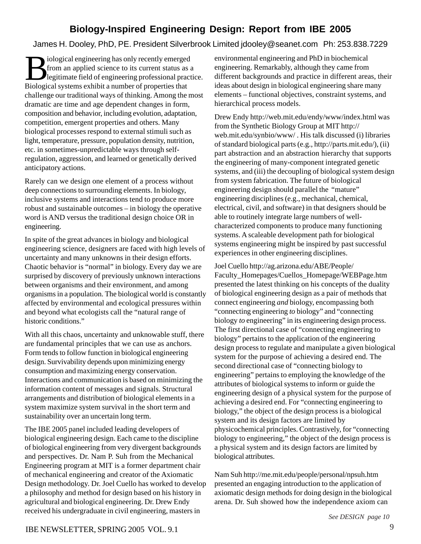# **Biology-Inspired Engineering Design: Report from IBE 2005**

James H. Dooley, PhD, PE. President Silverbrook Limited jdooley@seanet.com Ph: 253.838.7229

Biological engineering has only recently emerged<br>from an applied science to its current status as<br>legitimate field of engineering professional prac-<br>Biological systems orbibit a number of properties that from an applied science to its current status as a legitimate field of engineering professional practice. Biological systems exhibit a number of properties that challenge our traditional ways of thinking. Among the most dramatic are time and age dependent changes in form, composition and behavior, including evolution, adaptation, competition, emergent properties and others. Many biological processes respond to external stimuli such as light, temperature, pressure, population density, nutrition, etc. in sometimes-unpredictable ways through selfregulation, aggression, and learned or genetically derived anticipatory actions.

Rarely can we design one element of a process without deep connections to surrounding elements. In biology, inclusive systems and interactions tend to produce more robust and sustainable outcomes – in biology the operative word is AND versus the traditional design choice OR in engineering.

In spite of the great advances in biology and biological engineering science, designers are faced with high levels of uncertainty and many unknowns in their design efforts. Chaotic behavior is "normal" in biology. Every day we are surprised by discovery of previously unknown interactions between organisms and their environment, and among organisms in a population. The biological world is constantly affected by environmental and ecological pressures within and beyond what ecologists call the "natural range of historic conditions."

With all this chaos, uncertainty and unknowable stuff, there are fundamental principles that we can use as anchors. Form tends to follow function in biological engineering design. Survivability depends upon minimizing energy consumption and maximizing energy conservation. Interactions and communication is based on minimizing the information content of messages and signals. Structural arrangements and distribution of biological elements in a system maximize system survival in the short term and sustainability over an uncertain long term.

The IBE 2005 panel included leading developers of biological engineering design. Each came to the discipline of biological engineering from very divergent backgrounds and perspectives. Dr. Nam P. Suh from the Mechanical Engineering program at MIT is a former department chair of mechanical engineering and creator of the Axiomatic Design methodology. Dr. Joel Cuello has worked to develop a philosophy and method for design based on his history in agricultural and biological engineering. Dr. Drew Endy received his undergraduate in civil engineering, masters in

environmental engineering and PhD in biochemical engineering. Remarkably, although they came from different backgrounds and practice in different areas, their ideas about design in biological engineering share many elements – functional objectives, constraint systems, and hierarchical process models.

Drew Endy http://web.mit.edu/endy/www/index.html was from the Synthetic Biology Group at MIT http:// web.mit.edu/synbio/www/ . His talk discussed (i) libraries of standard biological parts (e.g., http://parts.mit.edu/), (ii) part abstraction and an abstraction hierarchy that supports the engineering of many-component integrated genetic systems, and (iii) the decoupling of biological system design from system fabrication. The future of biological engineering design should parallel the "mature" engineering disciplines (e.g., mechanical, chemical, electrical, civil, and software) in that designers should be able to routinely integrate large numbers of wellcharacterized components to produce many functioning systems. A scaleable development path for biological systems engineering might be inspired by past successful experiences in other engineering disciplines.

Joel Cuello http://ag.arizona.edu/ABE/People/ Faculty\_Homepages/Cuellos\_Homepage/WEBPage.htm presented the latest thinking on his concepts of the duality of biological engineering design as a pair of methods that connect engineering *and* biology, encompassing both "connecting engineering *to* biology" and "connecting biology *to* engineering" in its engineering design process. The first directional case of "connecting engineering to biology" pertains to the application of the engineering design process to regulate and manipulate a given biological system for the purpose of achieving a desired end. The second directional case of "connecting biology to engineering" pertains to employing the knowledge of the attributes of biological systems to inform or guide the engineering design of a physical system for the purpose of achieving a desired end. For "connecting engineering to biology," the object of the design process is a biological system and its design factors are limited by physicochemical principles. Contrastively, for "connecting biology to engineering," the object of the design process is a physical system and its design factors are limited by biological attributes.

Nam Suh http://me.mit.edu/people/personal/npsuh.htm presented an engaging introduction to the application of axiomatic design methods for doing design in the biological arena. Dr. Suh showed how the independence axiom can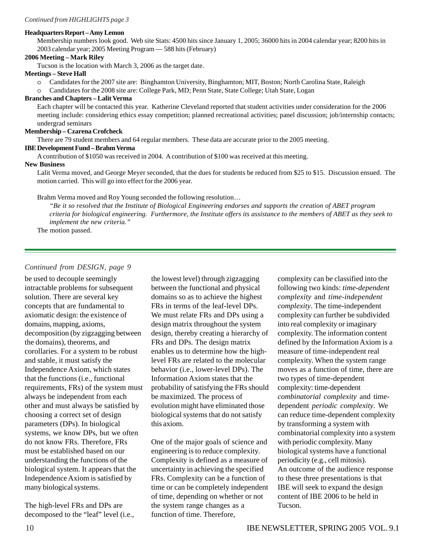#### **Headquarters Report – Amy Lemon**

Membership numbers look good. Web site Stats: 4500 hits since January 1, 2005; 36000 hits in 2004 calendar year; 8200 hits in 2003 calendar year; 2005 Meeting Program — 588 hits (February)

#### **2006 Meeting – Mark Riley**

Tucson is the location with March 3, 2006 as the target date.

#### **Meetings – Steve Hall**

o Candidates for the 2007 site are: Binghamton University, Binghamton; MIT, Boston; North Carolina State, Raleigh

o Candidates for the 2008 site are: College Park, MD; Penn State, State College; Utah State, Logan

#### **Branches and Chapters – Lalit Verma**

Each chapter will be contacted this year. Katherine Cleveland reported that student activities under consideration for the 2006 meeting include: considering ethics essay competition; planned recreational activities; panel discussion; job/internship contacts; undergrad seminars

#### **Membership – Czarena Crofcheck**

There are 79 student members and 64 regular members. These data are accurate prior to the 2005 meeting.

#### **IBE Development Fund – Brahm Verma**

A contribution of \$1050 was received in 2004. A contribution of \$100 was received at this meeting.

#### **New Business**

Lalit Verma moved, and George Meyer seconded, that the dues for students be reduced from \$25 to \$15. Discussion ensued. The motion carried. This will go into effect for the 2006 year.

Brahm Verma moved and Roy Young seconded the following resolution…

*"Be it so resolved that the Institute of Biological Engineering endorses and supports the creation of ABET program criteria for biological engineering. Furthermore, the Institute offers its assistance to the members of ABET as they seek to implement the new criteria."*

The motion passed.

#### *Continued from DESIGN, page 9*

be used to decouple seemingly intractable problems for subsequent solution. There are several key concepts that are fundamental to axiomatic design: the existence of domains, mapping, axioms, decomposition (by zigzagging between the domains), theorems, and corollaries. For a system to be robust and stable, it must satisfy the Independence Axiom, which states that the functions (i.e., functional requirements, FRs) of the system must always be independent from each other and must always be satisfied by choosing a correct set of design parameters (DPs). In biological systems, we know DPs, but we often do not know FRs. Therefore, FRs must be established based on our understanding the functions of the biological system. It appears that the Independence Axiom is satisfied by many biological systems.

The high-level FRs and DPs are decomposed to the "leaf" level (i.e.,

the lowest level) through zigzagging between the functional and physical domains so as to achieve the highest FRs in terms of the leaf-level DPs. We must relate FRs and DPs using a design matrix throughout the system design, thereby creating a hierarchy of FRs and DPs. The design matrix enables us to determine how the highlevel FRs are related to the molecular behavior (i.e., lower-level DPs). The Information Axiom states that the probability of satisfying the FRs should be maximized. The process of evolution might have eliminated those biological systems that do not satisfy this axiom.

One of the major goals of science and engineering is to reduce complexity. Complexity is defined as a measure of uncertainty in achieving the specified FRs. Complexity can be a function of time or can be completely independent of time, depending on whether or not the system range changes as a function of time. Therefore,

complexity can be classified into the following two kinds: *time-dependent complexity* and *time-independent complexity*. The time-independent complexity can further be subdivided into real complexity or imaginary complexity. The information content defined by the Information Axiom is a measure of time-independent real complexity. When the system range moves as a function of time, there are two types of time-dependent complexity: time-dependent *combinatorial complexity* and timedependent *periodic complexity*. We can reduce time-dependent complexity by transforming a system with combinatorial complexity into a system with periodic complexity. Many biological systems have a functional periodicity (e.g., cell mitosis). An outcome of the audience response to these three presentations is that IBE will seek to expand the design content of IBE 2006 to be held in Tucson.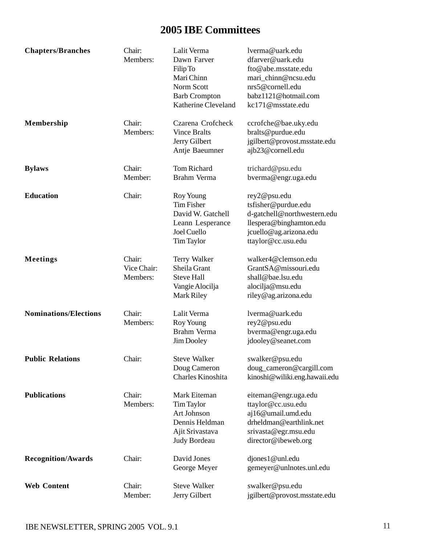# **2005 IBE Committees**

| <b>Chapters/Branches</b>     | Chair:<br>Members:                | Lalit Verma<br>Dawn Farver<br>Filip To<br>Mari Chinn<br>Norm Scott<br><b>Barb Crompton</b><br>Katherine Cleveland | lverma@uark.edu<br>dfarver@uark.edu<br>fto@abe.msstate.edu<br>mari_chinn@ncsu.edu<br>nrs5@cornell.edu<br>babz1121@hotmail.com<br>kc171@msstate.edu |
|------------------------------|-----------------------------------|-------------------------------------------------------------------------------------------------------------------|----------------------------------------------------------------------------------------------------------------------------------------------------|
| Membership                   | Chair:<br>Members:                | Czarena Crofcheck<br><b>Vince Bralts</b><br>Jerry Gilbert<br>Antje Baeumner                                       | ccrofche@bae.uky.edu<br>bralts@purdue.edu<br>jgilbert@provost.msstate.edu<br>ajb23@cornell.edu                                                     |
| <b>Bylaws</b>                | Chair:<br>Member:                 | Tom Richard<br>Brahm Verma                                                                                        | trichard@psu.edu<br>bverma@engr.uga.edu                                                                                                            |
| <b>Education</b>             | Chair:                            | Roy Young<br><b>Tim Fisher</b><br>David W. Gatchell<br>Leann Lesperance<br>Joel Cuello<br>Tim Taylor              | rey2@psu.edu<br>tsfisher@purdue.edu<br>d-gatchell@northwestern.edu<br>llespera@binghamton.edu<br>jcuello@ag.arizona.edu<br>ttaylor@cc.usu.edu      |
| <b>Meetings</b>              | Chair:<br>Vice Chair:<br>Members: | Terry Walker<br>Sheila Grant<br><b>Steve Hall</b><br>Vangie Alocilja<br>Mark Riley                                | walker4@clemson.edu<br>GrantSA@missouri.edu<br>shall@bae.lsu.edu<br>alocilja@msu.edu<br>riley@ag.arizona.edu                                       |
| <b>Nominations/Elections</b> | Chair:<br>Members:                | Lalit Verma<br>Roy Young<br>Brahm Verma<br>Jim Dooley                                                             | lverma@uark.edu<br>rey2@psu.edu<br>bverma@engr.uga.edu<br>jdooley@seanet.com                                                                       |
| <b>Public Relations</b>      | Chair:                            | <b>Steve Walker</b><br>Doug Cameron<br>Charles Kinoshita                                                          | swalker@psu.edu<br>doug_cameron@cargill.com<br>kinoshi@wiliki.eng.hawaii.edu                                                                       |
| <b>Publications</b>          | Chair:<br>Members:                | Mark Eiteman<br><b>Tim Taylor</b><br>Art Johnson<br>Dennis Heldman<br>Ajit Srivastava<br>Judy Bordeau             | eiteman@engr.uga.edu<br>ttaylor@cc.usu.edu<br>aj16@umail.umd.edu<br>drheldman@earthlink.net<br>srivasta@egr.msu.edu<br>director@ibeweb.org         |
| <b>Recognition/Awards</b>    | Chair:                            | David Jones<br>George Meyer                                                                                       | djones1@unl.edu<br>gemeyer@unlnotes.unl.edu                                                                                                        |
| <b>Web Content</b>           | Chair:<br>Member:                 | <b>Steve Walker</b><br>Jerry Gilbert                                                                              | swalker@psu.edu<br>jgilbert@provost.msstate.edu                                                                                                    |